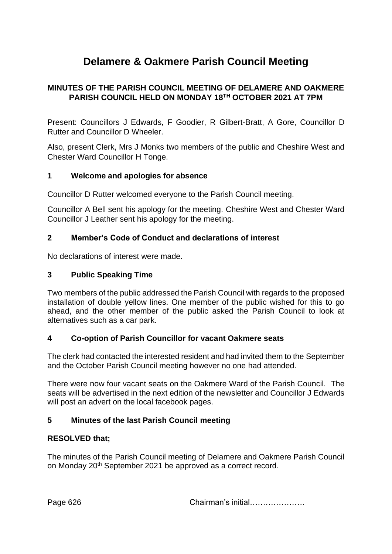# **Delamere & Oakmere Parish Council Meeting**

## **MINUTES OF THE PARISH COUNCIL MEETING OF DELAMERE AND OAKMERE PARISH COUNCIL HELD ON MONDAY 18TH OCTOBER 2021 AT 7PM**

Present: Councillors J Edwards, F Goodier, R Gilbert-Bratt, A Gore, Councillor D Rutter and Councillor D Wheeler.

Also, present Clerk, Mrs J Monks two members of the public and Cheshire West and Chester Ward Councillor H Tonge.

## **1 Welcome and apologies for absence**

Councillor D Rutter welcomed everyone to the Parish Council meeting.

Councillor A Bell sent his apology for the meeting. Cheshire West and Chester Ward Councillor J Leather sent his apology for the meeting.

## **2 Member's Code of Conduct and declarations of interest**

No declarations of interest were made.

#### **3 Public Speaking Time**

Two members of the public addressed the Parish Council with regards to the proposed installation of double yellow lines. One member of the public wished for this to go ahead, and the other member of the public asked the Parish Council to look at alternatives such as a car park.

## **4 Co-option of Parish Councillor for vacant Oakmere seats**

The clerk had contacted the interested resident and had invited them to the September and the October Parish Council meeting however no one had attended.

There were now four vacant seats on the Oakmere Ward of the Parish Council. The seats will be advertised in the next edition of the newsletter and Councillor J Edwards will post an advert on the local facebook pages.

## **5 Minutes of the last Parish Council meeting**

## **RESOLVED that;**

The minutes of the Parish Council meeting of Delamere and Oakmere Parish Council on Monday 20<sup>th</sup> September 2021 be approved as a correct record.

Page 626 **Chairman's initial………………**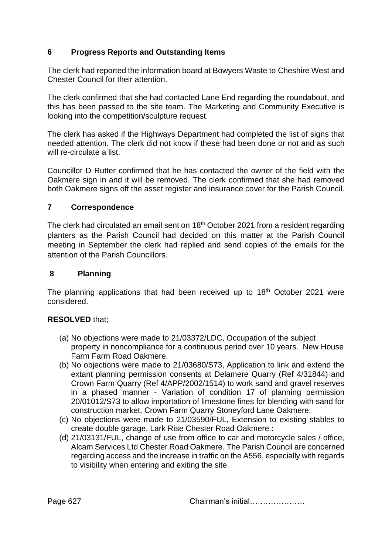# **6 Progress Reports and Outstanding Items**

The clerk had reported the information board at Bowyers Waste to Cheshire West and Chester Council for their attention.

The clerk confirmed that she had contacted Lane End regarding the roundabout, and this has been passed to the site team. The Marketing and Community Executive is looking into the competition/sculpture request.

The clerk has asked if the Highways Department had completed the list of signs that needed attention. The clerk did not know if these had been done or not and as such will re-circulate a list.

Councillor D Rutter confirmed that he has contacted the owner of the field with the Oakmere sign in and it will be removed. The clerk confirmed that she had removed both Oakmere signs off the asset register and insurance cover for the Parish Council.

#### **7 Correspondence**

The clerk had circulated an email sent on  $18<sup>th</sup>$  October 2021 from a resident regarding planters as the Parish Council had decided on this matter at the Parish Council meeting in September the clerk had replied and send copies of the emails for the attention of the Parish Councillors.

#### **8 Planning**

The planning applications that had been received up to  $18<sup>th</sup>$  October 2021 were considered.

## **RESOLVED** that;

- (a) No objections were made to 21/03372/LDC, Occupation of the subject property in noncompliance for a continuous period over 10 years. New House Farm Farm Road Oakmere.
- (b) No objections were made to 21/03680/S73, Application to link and extend the extant planning permission consents at Delamere Quarry (Ref 4/31844) and Crown Farm Quarry (Ref 4/APP/2002/1514) to work sand and gravel reserves in a phased manner - Variation of condition 17 of planning permission 20/01012/S73 to allow importation of limestone fines for blending with sand for construction market, Crown Farm Quarry Stoneyford Lane Oakmere.
- (c) No objections were made to 21/03590/FUL, Extension to existing stables to create double garage, Lark Rise Chester Road Oakmere.:
- (d) 21/03131/FUL, change of use from office to car and motorcycle sales / office, Alcam Services Ltd Chester Road Oakmere. The Parish Council are concerned regarding access and the increase in traffic on the A556, especially with regards to visibility when entering and exiting the site.

Page 627 Chairman's initial…………………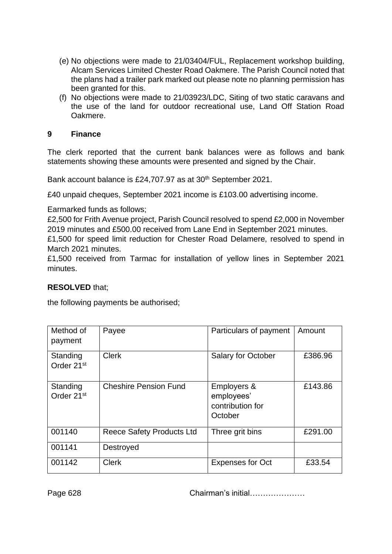- (e) No objections were made to 21/03404/FUL, Replacement workshop building, Alcam Services Limited Chester Road Oakmere. The Parish Council noted that the plans had a trailer park marked out please note no planning permission has been granted for this.
- (f) No objections were made to 21/03923/LDC, Siting of two static caravans and the use of the land for outdoor recreational use, Land Off Station Road Oakmere.

#### **9 Finance**

The clerk reported that the current bank balances were as follows and bank statements showing these amounts were presented and signed by the Chair.

Bank account balance is £24,707.97 as at 30<sup>th</sup> September 2021.

£40 unpaid cheques, September 2021 income is £103.00 advertising income.

Earmarked funds as follows;

£2,500 for Frith Avenue project, Parish Council resolved to spend £2,000 in November 2019 minutes and £500.00 received from Lane End in September 2021 minutes. £1,500 for speed limit reduction for Chester Road Delamere, resolved to spend in March 2021 minutes.

£1,500 received from Tarmac for installation of yellow lines in September 2021 minutes.

#### **RESOLVED** that;

the following payments be authorised;

| Method of<br>payment               | Payee                        | Particulars of payment                                   | Amount  |
|------------------------------------|------------------------------|----------------------------------------------------------|---------|
| Standing<br>Order 21 <sup>st</sup> | <b>Clerk</b>                 | <b>Salary for October</b>                                | £386.96 |
| Standing<br>Order 21 <sup>st</sup> | <b>Cheshire Pension Fund</b> | Employers &<br>employees'<br>contribution for<br>October | £143.86 |
| 001140                             | Reece Safety Products Ltd    | Three grit bins                                          | £291.00 |
| 001141                             | Destroyed                    |                                                          |         |
| 001142                             | <b>Clerk</b>                 | <b>Expenses for Oct</b>                                  | £33.54  |

Page 628 Chairman's initial…………………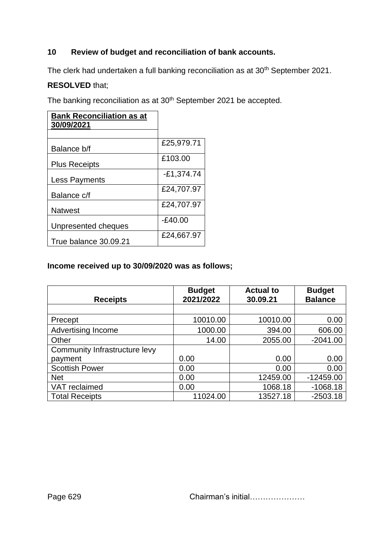# **10 Review of budget and reconciliation of bank accounts.**

The clerk had undertaken a full banking reconciliation as at 30<sup>th</sup> September 2021.

# **RESOLVED** that;

The banking reconciliation as at 30<sup>th</sup> September 2021 be accepted.

| <b>Bank Reconciliation as at</b><br>30/09/2021 |              |
|------------------------------------------------|--------------|
|                                                |              |
| Balance b/f                                    | £25,979.71   |
| <b>Plus Receipts</b>                           | £103.00      |
| Less Payments                                  | $-£1,374.74$ |
| Balance c/f                                    | £24,707.97   |
| <b>Natwest</b>                                 | £24,707.97   |
| Unpresented cheques                            | $-E40.00$    |
| True balance 30.09.21                          | £24,667.97   |

# **Income received up to 30/09/2020 was as follows;**

| <b>Receipts</b>               | <b>Budget</b><br>2021/2022 | <b>Actual to</b><br>30.09.21 | <b>Budget</b><br><b>Balance</b> |
|-------------------------------|----------------------------|------------------------------|---------------------------------|
|                               |                            |                              |                                 |
| Precept                       | 10010.00                   | 10010.00                     | 0.00                            |
| <b>Advertising Income</b>     | 1000.00                    | 394.00                       | 606.00                          |
| Other                         | 14.00                      | 2055.00                      | $-2041.00$                      |
| Community Infrastructure levy |                            |                              |                                 |
| payment                       | 0.00                       | 0.00                         | 0.00                            |
| <b>Scottish Power</b>         | 0.00                       | 0.00                         | 0.00                            |
| <b>Net</b>                    | 0.00                       | 12459.00                     | $-12459.00$                     |
| VAT reclaimed                 | 0.00                       | 1068.18                      | $-1068.18$                      |
| <b>Total Receipts</b>         | 11024.00                   | 13527.18                     | $-2503.18$                      |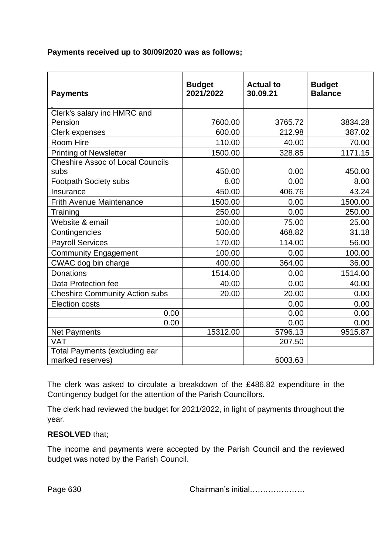#### **Payments received up to 30/09/2020 was as follows;**

|                                         | <b>Budget</b><br>2021/2022 | <b>Actual to</b> | <b>Budget</b><br><b>Balance</b> |
|-----------------------------------------|----------------------------|------------------|---------------------------------|
| <b>Payments</b>                         |                            | 30.09.21         |                                 |
| Clerk's salary inc HMRC and             |                            |                  |                                 |
| Pension                                 | 7600.00                    | 3765.72          | 3834.28                         |
| Clerk expenses                          | 600.00                     | 212.98           | 387.02                          |
| Room Hire                               | 110.00                     | 40.00            | 70.00                           |
| <b>Printing of Newsletter</b>           | 1500.00                    | 328.85           | 1171.15                         |
| <b>Cheshire Assoc of Local Councils</b> |                            |                  |                                 |
| subs                                    | 450.00                     | 0.00             | 450.00                          |
| <b>Footpath Society subs</b>            | 8.00                       | 0.00             | 8.00                            |
| Insurance                               | 450.00                     | 406.76           | 43.24                           |
| <b>Frith Avenue Maintenance</b>         | 1500.00                    | 0.00             | 1500.00                         |
| Training                                | 250.00                     | 0.00             | 250.00                          |
| Website & email                         | 100.00                     | 75.00            | 25.00                           |
| Contingencies                           | 500.00                     | 468.82           | 31.18                           |
| <b>Payroll Services</b>                 | 170.00                     | 114.00           | 56.00                           |
| <b>Community Engagement</b>             | 100.00                     | 0.00             | 100.00                          |
| CWAC dog bin charge                     | 400.00                     | 364.00           | 36.00                           |
| <b>Donations</b>                        | 1514.00                    | 0.00             | 1514.00                         |
| Data Protection fee                     | 40.00                      | 0.00             | 40.00                           |
| <b>Cheshire Community Action subs</b>   | 20.00                      | 20.00            | 0.00                            |
| <b>Election costs</b>                   |                            | 0.00             | 0.00                            |
| 0.00                                    |                            | 0.00             | 0.00                            |
| 0.00                                    |                            | 0.00             | 0.00                            |
| Net Payments                            | 15312.00                   | 5796.13          | 9515.87                         |
| <b>VAT</b>                              |                            | 207.50           |                                 |
| <b>Total Payments (excluding ear</b>    |                            |                  |                                 |
| marked reserves)                        |                            | 6003.63          |                                 |

The clerk was asked to circulate a breakdown of the £486.82 expenditure in the Contingency budget for the attention of the Parish Councillors.

The clerk had reviewed the budget for 2021/2022, in light of payments throughout the year.

## **RESOLVED** that;

The income and payments were accepted by the Parish Council and the reviewed budget was noted by the Parish Council.

Page 630 **Chairman's initial………………**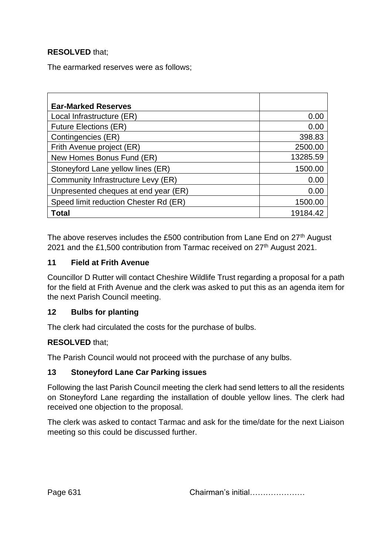# **RESOLVED** that;

The earmarked reserves were as follows;

| <b>Ear-Marked Reserves</b>            |          |
|---------------------------------------|----------|
| Local Infrastructure (ER)             | 0.00     |
| <b>Future Elections (ER)</b>          | 0.00     |
| Contingencies (ER)                    | 398.83   |
| Frith Avenue project (ER)             | 2500.00  |
| New Homes Bonus Fund (ER)             | 13285.59 |
| Stoneyford Lane yellow lines (ER)     | 1500.00  |
| Community Infrastructure Levy (ER)    | 0.00     |
| Unpresented cheques at end year (ER)  | 0.00     |
| Speed limit reduction Chester Rd (ER) | 1500.00  |
| Total                                 | 19184.42 |

The above reserves includes the £500 contribution from Lane End on 27<sup>th</sup> August 2021 and the £1,500 contribution from Tarmac received on 27<sup>th</sup> August 2021.

#### **11 Field at Frith Avenue**

Councillor D Rutter will contact Cheshire Wildlife Trust regarding a proposal for a path for the field at Frith Avenue and the clerk was asked to put this as an agenda item for the next Parish Council meeting.

## **12 Bulbs for planting**

The clerk had circulated the costs for the purchase of bulbs.

## **RESOLVED** that;

The Parish Council would not proceed with the purchase of any bulbs.

#### **13 Stoneyford Lane Car Parking issues**

Following the last Parish Council meeting the clerk had send letters to all the residents on Stoneyford Lane regarding the installation of double yellow lines. The clerk had received one objection to the proposal.

The clerk was asked to contact Tarmac and ask for the time/date for the next Liaison meeting so this could be discussed further.

Page 631 **Chairman's initial………………**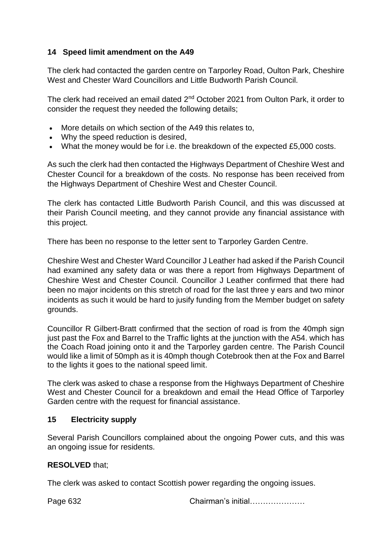# **14 Speed limit amendment on the A49**

The clerk had contacted the garden centre on Tarporley Road, Oulton Park, Cheshire West and Chester Ward Councillors and Little Budworth Parish Council.

The clerk had received an email dated 2nd October 2021 from Oulton Park, it order to consider the request they needed the following details;

- More details on which section of the A49 this relates to,
- Why the speed reduction is desired,
- What the money would be for i.e. the breakdown of the expected £5,000 costs.

As such the clerk had then contacted the Highways Department of Cheshire West and Chester Council for a breakdown of the costs. No response has been received from the Highways Department of Cheshire West and Chester Council.

The clerk has contacted Little Budworth Parish Council, and this was discussed at their Parish Council meeting, and they cannot provide any financial assistance with this project.

There has been no response to the letter sent to Tarporley Garden Centre.

Cheshire West and Chester Ward Councillor J Leather had asked if the Parish Council had examined any safety data or was there a report from Highways Department of Cheshire West and Chester Council. Councillor J Leather confirmed that there had been no major incidents on this stretch of road for the last three y ears and two minor incidents as such it would be hard to jusify funding from the Member budget on safety grounds.

Councillor R Gilbert-Bratt confirmed that the section of road is from the 40mph sign just past the Fox and Barrel to the Traffic lights at the junction with the A54, which has the Coach Road joining onto it and the Tarporley garden centre. The Parish Council would like a limit of 50mph as it is 40mph though Cotebrook then at the Fox and Barrel to the lights it goes to the national speed limit.

The clerk was asked to chase a response from the Highways Department of Cheshire West and Chester Council for a breakdown and email the Head Office of Tarporley Garden centre with the request for financial assistance.

## **15 Electricity supply**

Several Parish Councillors complained about the ongoing Power cuts, and this was an ongoing issue for residents.

## **RESOLVED** that;

The clerk was asked to contact Scottish power regarding the ongoing issues.

Page 632 Chairman's initial…………………